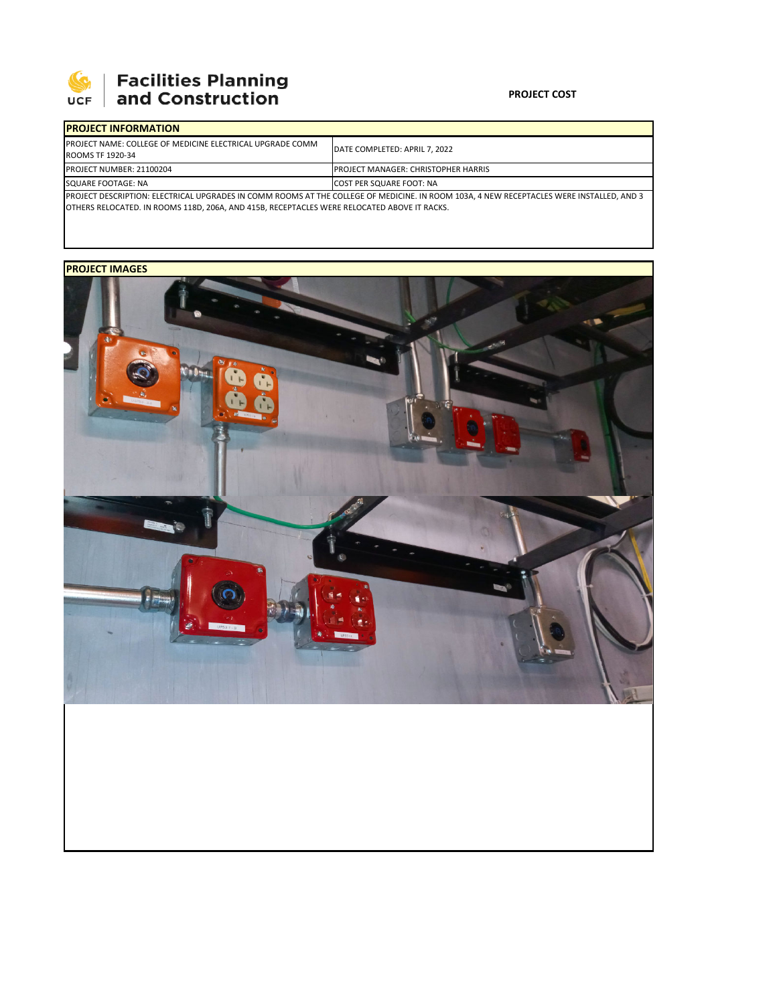

## **Facilities Planning<br>and Construction**

## **PROJECT COST**

| <b>IPROJECT INFORMATION</b>                                                                                                               |                                            |
|-------------------------------------------------------------------------------------------------------------------------------------------|--------------------------------------------|
| <b>IPROJECT NAME: COLLEGE OF MEDICINE ELECTRICAL UPGRADE COMM</b><br>ROOMS TF 1920-34                                                     | DATE COMPLETED: APRIL 7, 2022              |
| PROJECT NUMBER: 21100204                                                                                                                  | <b>PROJECT MANAGER: CHRISTOPHER HARRIS</b> |
| SQUARE FOOTAGE: NA                                                                                                                        | <b>ICOST PER SQUARE FOOT: NA</b>           |
| IPROJECT DESCRIPTION: ELECTRICAL UPGRADES IN COMM ROOMS AT THE COLLEGE OF MEDICINE. IN ROOM 103A. 4 NEW RECEPTACLES WERE INSTALLED. AND 3 |                                            |
| OTHERS RELOCATED. IN ROOMS 118D, 206A, AND 415B, RECEPTACLES WERE RELOCATED ABOVE IT RACKS.                                               |                                            |

## **PROJECT IMAGES**